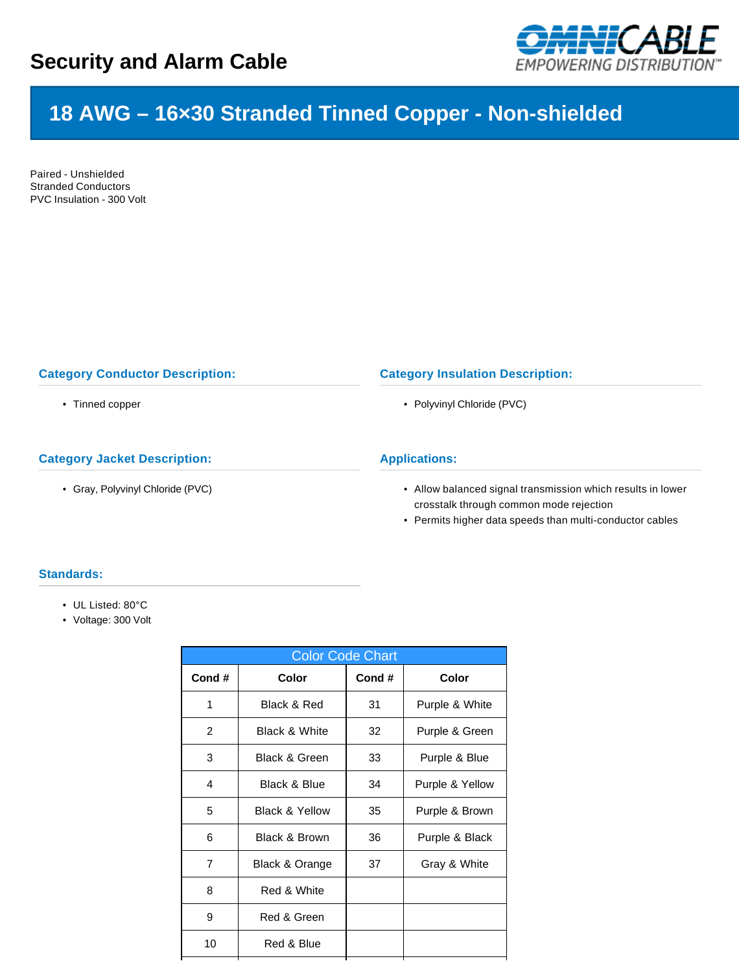

# **18 AWG – 16×30 Stranded Tinned Copper - Non-shielded**

Paired - Unshielded Stranded Conductors PVC Insulation - 300 Volt

# **Category Conductor Description:**

• Tinned copper

# **Category Jacket Description:**

• Gray, Polyvinyl Chloride (PVC)

#### **Category Insulation Description:**

• Polyvinyl Chloride (PVC)

# **Applications:**

- Allow balanced signal transmission which results in lower crosstalk through common mode rejection
- Permits higher data speeds than multi-conductor cables

### **Standards:**

- UL Listed: 80°C
- Voltage: 300 Volt

| <b>Color Code Chart</b> |                           |       |                 |  |  |  |  |  |  |
|-------------------------|---------------------------|-------|-----------------|--|--|--|--|--|--|
| Cond#                   | Color                     | Cond# | Color           |  |  |  |  |  |  |
| 1                       | Black & Red               | 31    | Purple & White  |  |  |  |  |  |  |
| 2                       | <b>Black &amp; White</b>  | 32    | Purple & Green  |  |  |  |  |  |  |
| 3                       | Black & Green             | 33    | Purple & Blue   |  |  |  |  |  |  |
| 4                       | <b>Black &amp; Blue</b>   | 34    | Purple & Yellow |  |  |  |  |  |  |
| 5                       | <b>Black &amp; Yellow</b> | 35    | Purple & Brown  |  |  |  |  |  |  |
| 6                       | Black & Brown             | 36    | Purple & Black  |  |  |  |  |  |  |
| 7                       | Black & Orange            | 37    | Gray & White    |  |  |  |  |  |  |
| 8                       | Red & White               |       |                 |  |  |  |  |  |  |
| 9                       | Red & Green               |       |                 |  |  |  |  |  |  |
| 10                      | Red & Blue                |       |                 |  |  |  |  |  |  |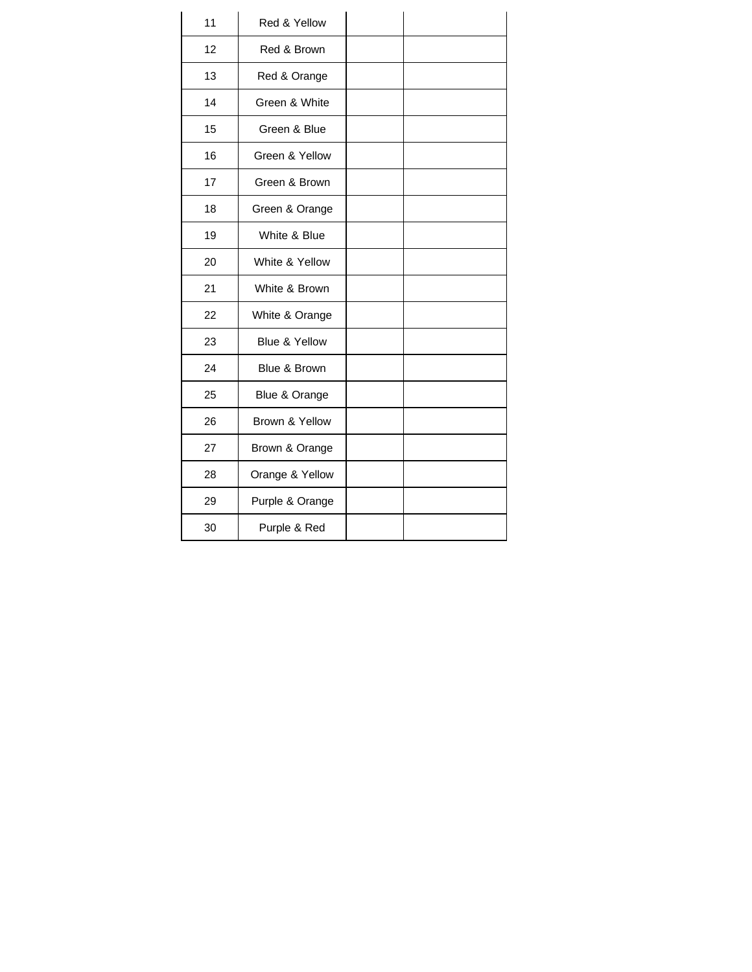| 11 | Red & Yellow    |  |
|----|-----------------|--|
| 12 | Red & Brown     |  |
| 13 | Red & Orange    |  |
| 14 | Green & White   |  |
| 15 | Green & Blue    |  |
| 16 | Green & Yellow  |  |
| 17 | Green & Brown   |  |
| 18 | Green & Orange  |  |
| 19 | White & Blue    |  |
| 20 | White & Yellow  |  |
| 21 | White & Brown   |  |
| 22 | White & Orange  |  |
| 23 | Blue & Yellow   |  |
| 24 | Blue & Brown    |  |
| 25 | Blue & Orange   |  |
| 26 | Brown & Yellow  |  |
| 27 | Brown & Orange  |  |
| 28 | Orange & Yellow |  |
| 29 | Purple & Orange |  |
| 30 | Purple & Red    |  |